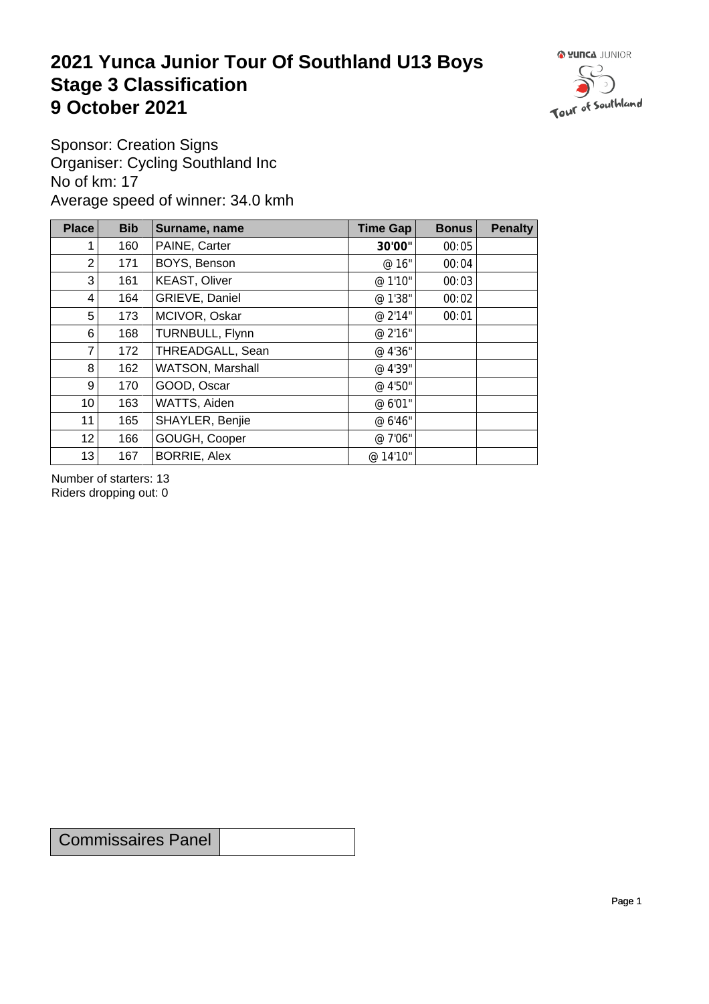## **2021 Yunca Junior Tour Of Southland U13 Boys** Stage 3 Classification<br>9 October 2021 **9 October 2021**



Sponsor: Creation Signs Organiser: Cycling Southland Inc No of km: 17 Average speed of winner: 34.0 kmh

| <b>Place</b>    | <b>Bib</b> | Surname, name        | Time Gap | <b>Bonus</b> | <b>Penalty</b> |
|-----------------|------------|----------------------|----------|--------------|----------------|
|                 | 160        | PAINE, Carter        | 30'00"   | 00:05        |                |
| $\overline{2}$  | 171        | BOYS, Benson         | @ 16"    | 00:04        |                |
| 3               | 161        | <b>KEAST, Oliver</b> | @ 1'10"  | 00:03        |                |
| 4               | 164        | GRIEVE, Daniel       | @ 1'38"  | 00:02        |                |
| 5               | 173        | MCIVOR, Oskar        | @ 2'14"  | 00:01        |                |
| 6               | 168        | TURNBULL, Flynn      | @ 2'16"  |              |                |
| 7               | 172        | THREADGALL, Sean     | @ 4'36"  |              |                |
| 8               | 162        | WATSON, Marshall     | @ 4'39"  |              |                |
| 9               | 170        | GOOD, Oscar          | @ 4'50"  |              |                |
| 10 <sup>1</sup> | 163        | WATTS, Aiden         | @ 6'01"  |              |                |
| 11              | 165        | SHAYLER, Benjie      | @ 6'46"  |              |                |
| 12              | 166        | GOUGH, Cooper        | @ 7'06"  |              |                |
| 13              | 167        | <b>BORRIE, Alex</b>  | @ 14'10" |              |                |

Number of starters: 13 Riders dropping out: 0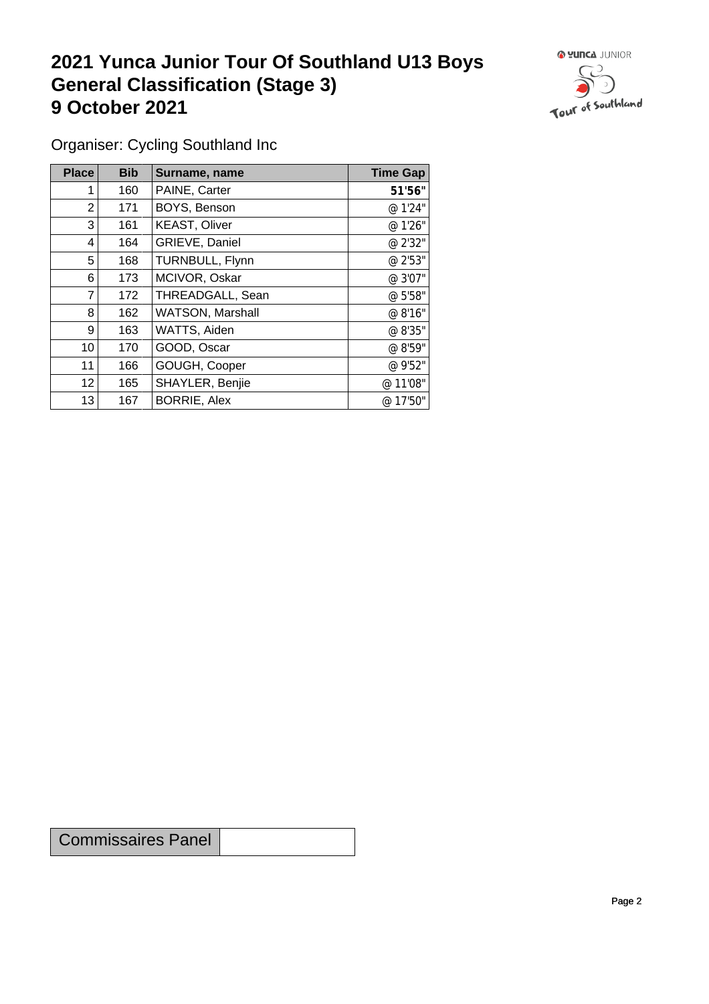## **2021 Yunca Junior Tour Of Southland U13 Boys General Classification (Stage 3)**<br> **9 October 2021 9 October 2021**



Organiser: Cycling Southland Inc

| Place           | <b>Bib</b> | Surname, name           | <b>Time Gap</b> |
|-----------------|------------|-------------------------|-----------------|
|                 | 160        | PAINE, Carter           | 51'56"          |
| $\overline{2}$  | 171        | BOYS, Benson            | @ 1'24"         |
| 3               | 161        | <b>KEAST, Oliver</b>    | @ 1'26"         |
| 4               | 164        | GRIEVE, Daniel          | @ 2'32"         |
| 5               | 168        | TURNBULL, Flynn         | @ 2'53"         |
| 6               | 173        | MCIVOR, Oskar           | @ 3'07"         |
| 7               | 172        | THREADGALL, Sean        | @ 5'58"         |
| 8               | 162        | <b>WATSON, Marshall</b> | @ 8'16"         |
| 9 <sup>1</sup>  | 163        | WATTS, Aiden            | @ 8'35"         |
| 10              | 170        | GOOD, Oscar             | @ 8'59"         |
| 11              | 166        | GOUGH, Cooper           | @ 9'52"         |
| 12 <sup>2</sup> | 165        | SHAYLER, Benjie         | @ 11'08"        |
| 13              | 167        | <b>BORRIE, Alex</b>     | @ 17'50"        |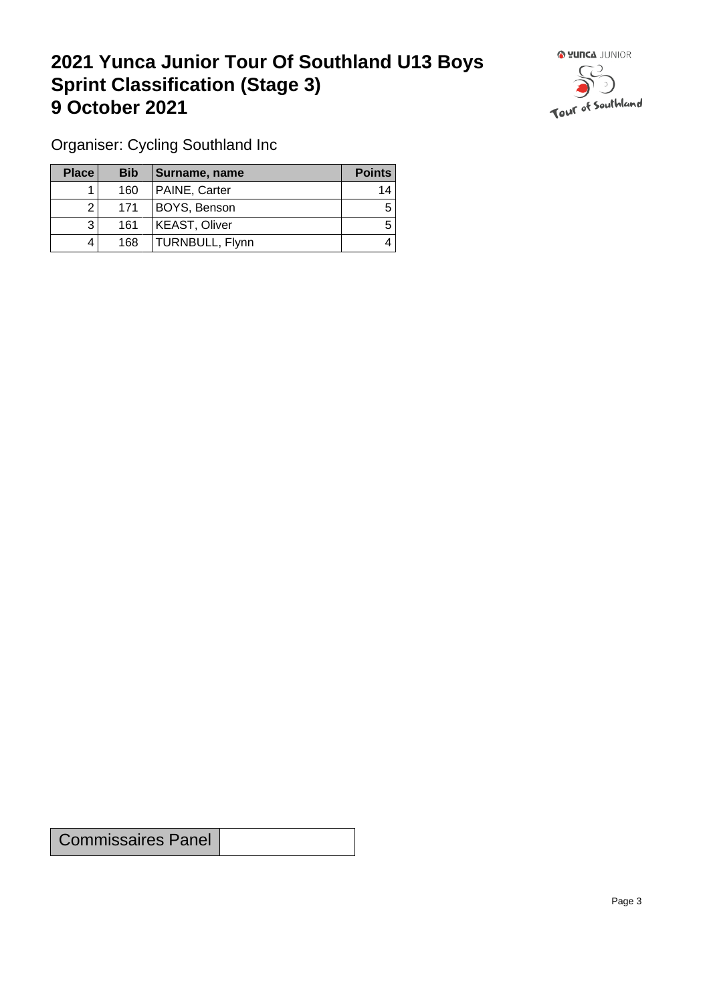## **2021 Yunca Junior Tour Of Southland U13 Boys Sprint Classification (Stage 3) 9 October 2021 19 October 2021**



Organiser: Cycling Southland Inc

| <b>Place</b> | <b>Bib</b> | Surname, name        | <b>Points</b> |
|--------------|------------|----------------------|---------------|
|              | 160        | PAINE, Carter        | 14            |
|              | 171        | BOYS, Benson         | 5             |
| 3            | 161        | <b>KEAST, Oliver</b> | 5             |
|              | 168        | TURNBULL, Flynn      |               |